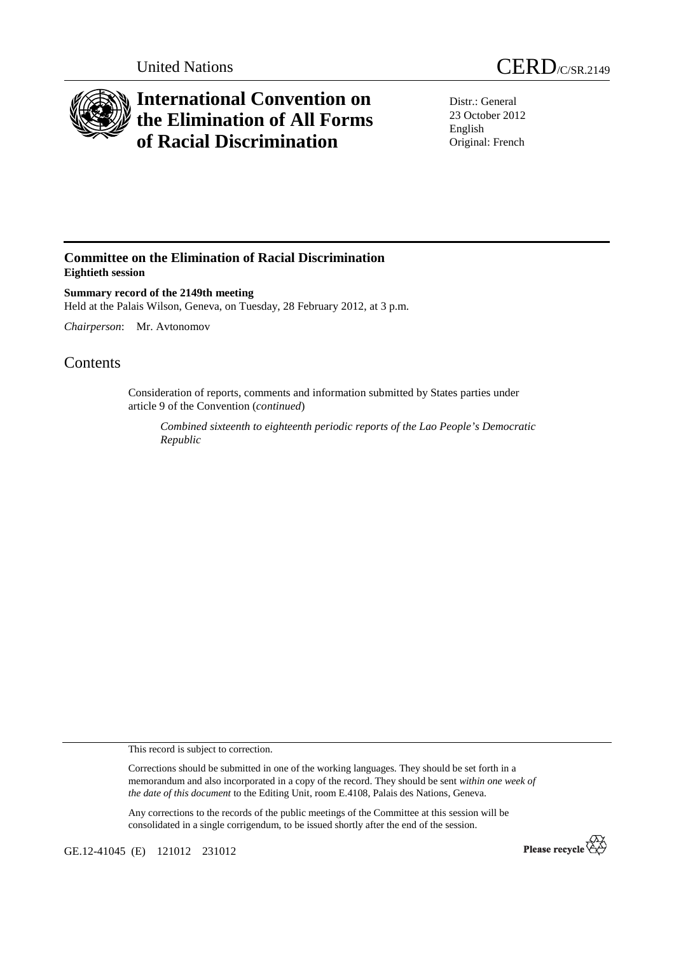

## **International Convention on the Elimination of All Forms of Racial Discrimination**

Distr.: General 23 October 2012 English Original: French

## **Committee on the Elimination of Racial Discrimination Eightieth session**

**Summary record of the 2149th meeting**  Held at the Palais Wilson, Geneva, on Tuesday, 28 February 2012, at 3 p.m.

*Chairperson*: Mr. Avtonomov

## **Contents**

Consideration of reports, comments and information submitted by States parties under article 9 of the Convention (*continued*)

*Combined sixteenth to eighteenth periodic reports of the Lao People's Democratic Republic* 

This record is subject to correction.

Corrections should be submitted in one of the working languages. They should be set forth in a memorandum and also incorporated in a copy of the record. They should be sent *within one week of the date of this document* to the Editing Unit, room E.4108, Palais des Nations, Geneva.

Any corrections to the records of the public meetings of the Committee at this session will be consolidated in a single corrigendum, to be issued shortly after the end of the session.

GE.12-41045 (E) 121012 231012

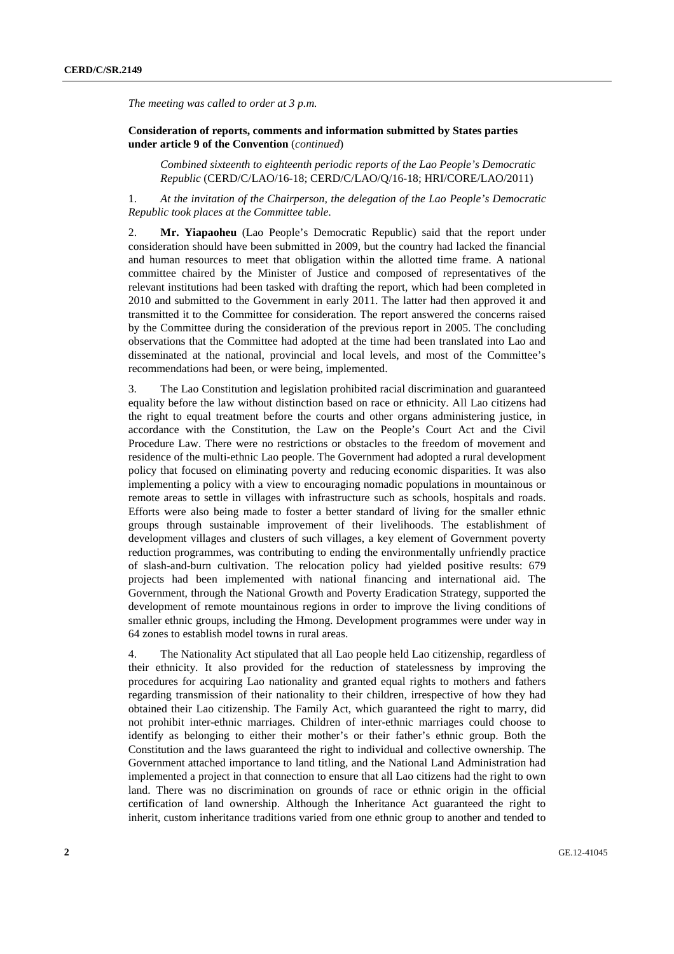*The meeting was called to order at 3 p.m.* 

## **Consideration of reports, comments and information submitted by States parties under article 9 of the Convention** (*continued*)

*Combined sixteenth to eighteenth periodic reports of the Lao People's Democratic Republic* (CERD/C/LAO/16-18; CERD/C/LAO/Q/16-18; HRI/CORE/LAO/2011)

1. *At the invitation of the Chairperson, the delegation of the Lao People's Democratic Republic took places at the Committee table*.

2. **Mr. Yiapaoheu** (Lao People's Democratic Republic) said that the report under consideration should have been submitted in 2009, but the country had lacked the financial and human resources to meet that obligation within the allotted time frame. A national committee chaired by the Minister of Justice and composed of representatives of the relevant institutions had been tasked with drafting the report, which had been completed in 2010 and submitted to the Government in early 2011. The latter had then approved it and transmitted it to the Committee for consideration. The report answered the concerns raised by the Committee during the consideration of the previous report in 2005. The concluding observations that the Committee had adopted at the time had been translated into Lao and disseminated at the national, provincial and local levels, and most of the Committee's recommendations had been, or were being, implemented.

3. The Lao Constitution and legislation prohibited racial discrimination and guaranteed equality before the law without distinction based on race or ethnicity. All Lao citizens had the right to equal treatment before the courts and other organs administering justice, in accordance with the Constitution, the Law on the People's Court Act and the Civil Procedure Law. There were no restrictions or obstacles to the freedom of movement and residence of the multi-ethnic Lao people. The Government had adopted a rural development policy that focused on eliminating poverty and reducing economic disparities. It was also implementing a policy with a view to encouraging nomadic populations in mountainous or remote areas to settle in villages with infrastructure such as schools, hospitals and roads. Efforts were also being made to foster a better standard of living for the smaller ethnic groups through sustainable improvement of their livelihoods. The establishment of development villages and clusters of such villages, a key element of Government poverty reduction programmes, was contributing to ending the environmentally unfriendly practice of slash-and-burn cultivation. The relocation policy had yielded positive results: 679 projects had been implemented with national financing and international aid. The Government, through the National Growth and Poverty Eradication Strategy, supported the development of remote mountainous regions in order to improve the living conditions of smaller ethnic groups, including the Hmong. Development programmes were under way in 64 zones to establish model towns in rural areas.

4. The Nationality Act stipulated that all Lao people held Lao citizenship, regardless of their ethnicity. It also provided for the reduction of statelessness by improving the procedures for acquiring Lao nationality and granted equal rights to mothers and fathers regarding transmission of their nationality to their children, irrespective of how they had obtained their Lao citizenship. The Family Act, which guaranteed the right to marry, did not prohibit inter-ethnic marriages. Children of inter-ethnic marriages could choose to identify as belonging to either their mother's or their father's ethnic group. Both the Constitution and the laws guaranteed the right to individual and collective ownership. The Government attached importance to land titling, and the National Land Administration had implemented a project in that connection to ensure that all Lao citizens had the right to own land. There was no discrimination on grounds of race or ethnic origin in the official certification of land ownership. Although the Inheritance Act guaranteed the right to inherit, custom inheritance traditions varied from one ethnic group to another and tended to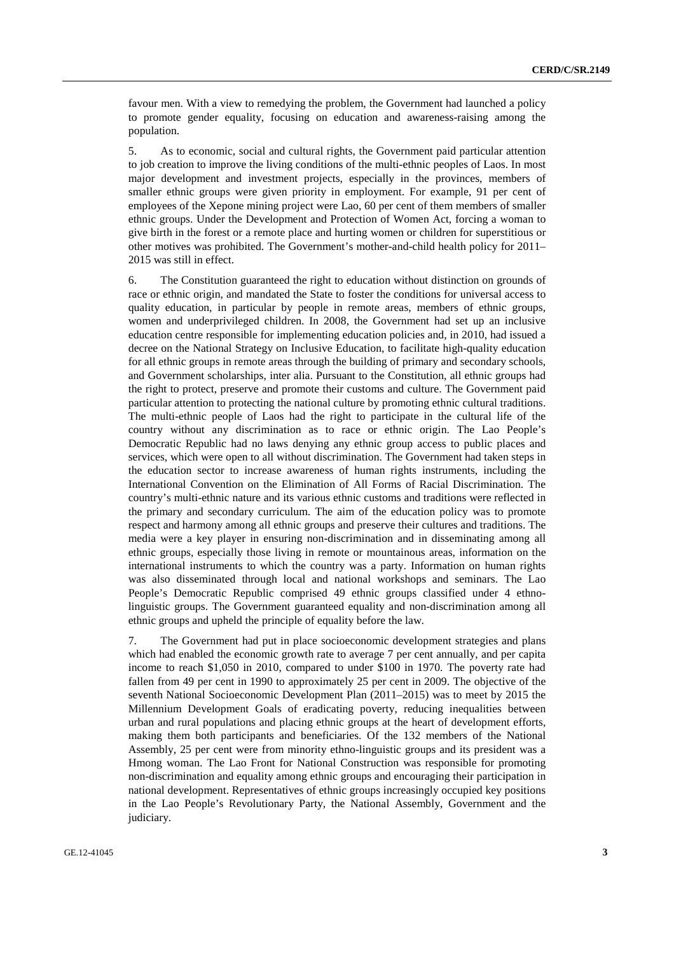favour men. With a view to remedying the problem, the Government had launched a policy to promote gender equality, focusing on education and awareness-raising among the population.

5. As to economic, social and cultural rights, the Government paid particular attention to job creation to improve the living conditions of the multi-ethnic peoples of Laos. In most major development and investment projects, especially in the provinces, members of smaller ethnic groups were given priority in employment. For example, 91 per cent of employees of the Xepone mining project were Lao, 60 per cent of them members of smaller ethnic groups. Under the Development and Protection of Women Act, forcing a woman to give birth in the forest or a remote place and hurting women or children for superstitious or other motives was prohibited. The Government's mother-and-child health policy for 2011– 2015 was still in effect.

6. The Constitution guaranteed the right to education without distinction on grounds of race or ethnic origin, and mandated the State to foster the conditions for universal access to quality education, in particular by people in remote areas, members of ethnic groups, women and underprivileged children. In 2008, the Government had set up an inclusive education centre responsible for implementing education policies and, in 2010, had issued a decree on the National Strategy on Inclusive Education, to facilitate high-quality education for all ethnic groups in remote areas through the building of primary and secondary schools, and Government scholarships, inter alia. Pursuant to the Constitution, all ethnic groups had the right to protect, preserve and promote their customs and culture. The Government paid particular attention to protecting the national culture by promoting ethnic cultural traditions. The multi-ethnic people of Laos had the right to participate in the cultural life of the country without any discrimination as to race or ethnic origin. The Lao People's Democratic Republic had no laws denying any ethnic group access to public places and services, which were open to all without discrimination. The Government had taken steps in the education sector to increase awareness of human rights instruments, including the International Convention on the Elimination of All Forms of Racial Discrimination. The country's multi-ethnic nature and its various ethnic customs and traditions were reflected in the primary and secondary curriculum. The aim of the education policy was to promote respect and harmony among all ethnic groups and preserve their cultures and traditions. The media were a key player in ensuring non-discrimination and in disseminating among all ethnic groups, especially those living in remote or mountainous areas, information on the international instruments to which the country was a party. Information on human rights was also disseminated through local and national workshops and seminars. The Lao People's Democratic Republic comprised 49 ethnic groups classified under 4 ethnolinguistic groups. The Government guaranteed equality and non-discrimination among all ethnic groups and upheld the principle of equality before the law.

7. The Government had put in place socioeconomic development strategies and plans which had enabled the economic growth rate to average 7 per cent annually, and per capita income to reach \$1,050 in 2010, compared to under \$100 in 1970. The poverty rate had fallen from 49 per cent in 1990 to approximately 25 per cent in 2009. The objective of the seventh National Socioeconomic Development Plan (2011–2015) was to meet by 2015 the Millennium Development Goals of eradicating poverty, reducing inequalities between urban and rural populations and placing ethnic groups at the heart of development efforts, making them both participants and beneficiaries. Of the 132 members of the National Assembly, 25 per cent were from minority ethno-linguistic groups and its president was a Hmong woman. The Lao Front for National Construction was responsible for promoting non-discrimination and equality among ethnic groups and encouraging their participation in national development. Representatives of ethnic groups increasingly occupied key positions in the Lao People's Revolutionary Party, the National Assembly, Government and the judiciary.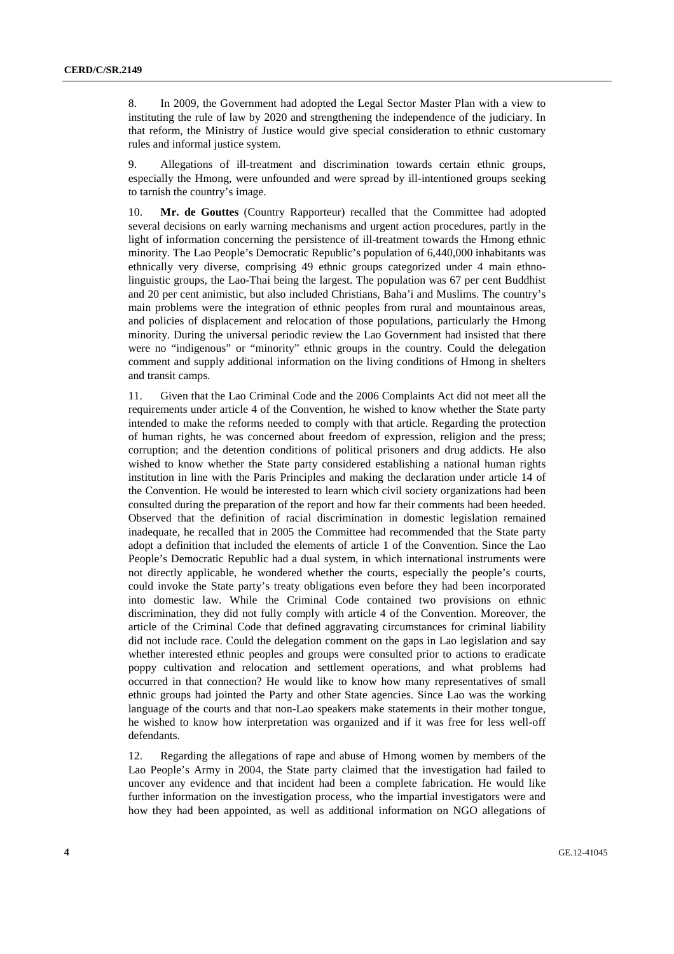8. In 2009, the Government had adopted the Legal Sector Master Plan with a view to instituting the rule of law by 2020 and strengthening the independence of the judiciary. In that reform, the Ministry of Justice would give special consideration to ethnic customary rules and informal justice system.

9. Allegations of ill-treatment and discrimination towards certain ethnic groups, especially the Hmong, were unfounded and were spread by ill-intentioned groups seeking to tarnish the country's image.

10. **Mr. de Gouttes** (Country Rapporteur) recalled that the Committee had adopted several decisions on early warning mechanisms and urgent action procedures, partly in the light of information concerning the persistence of ill-treatment towards the Hmong ethnic minority. The Lao People's Democratic Republic's population of 6,440,000 inhabitants was ethnically very diverse, comprising 49 ethnic groups categorized under 4 main ethnolinguistic groups, the Lao-Thai being the largest. The population was 67 per cent Buddhist and 20 per cent animistic, but also included Christians, Baha'i and Muslims. The country's main problems were the integration of ethnic peoples from rural and mountainous areas, and policies of displacement and relocation of those populations, particularly the Hmong minority. During the universal periodic review the Lao Government had insisted that there were no "indigenous" or "minority" ethnic groups in the country. Could the delegation comment and supply additional information on the living conditions of Hmong in shelters and transit camps.

11. Given that the Lao Criminal Code and the 2006 Complaints Act did not meet all the requirements under article 4 of the Convention, he wished to know whether the State party intended to make the reforms needed to comply with that article. Regarding the protection of human rights, he was concerned about freedom of expression, religion and the press; corruption; and the detention conditions of political prisoners and drug addicts. He also wished to know whether the State party considered establishing a national human rights institution in line with the Paris Principles and making the declaration under article 14 of the Convention. He would be interested to learn which civil society organizations had been consulted during the preparation of the report and how far their comments had been heeded. Observed that the definition of racial discrimination in domestic legislation remained inadequate, he recalled that in 2005 the Committee had recommended that the State party adopt a definition that included the elements of article 1 of the Convention. Since the Lao People's Democratic Republic had a dual system, in which international instruments were not directly applicable, he wondered whether the courts, especially the people's courts, could invoke the State party's treaty obligations even before they had been incorporated into domestic law. While the Criminal Code contained two provisions on ethnic discrimination, they did not fully comply with article 4 of the Convention. Moreover, the article of the Criminal Code that defined aggravating circumstances for criminal liability did not include race. Could the delegation comment on the gaps in Lao legislation and say whether interested ethnic peoples and groups were consulted prior to actions to eradicate poppy cultivation and relocation and settlement operations, and what problems had occurred in that connection? He would like to know how many representatives of small ethnic groups had jointed the Party and other State agencies. Since Lao was the working language of the courts and that non-Lao speakers make statements in their mother tongue, he wished to know how interpretation was organized and if it was free for less well-off defendants.

12. Regarding the allegations of rape and abuse of Hmong women by members of the Lao People's Army in 2004, the State party claimed that the investigation had failed to uncover any evidence and that incident had been a complete fabrication. He would like further information on the investigation process, who the impartial investigators were and how they had been appointed, as well as additional information on NGO allegations of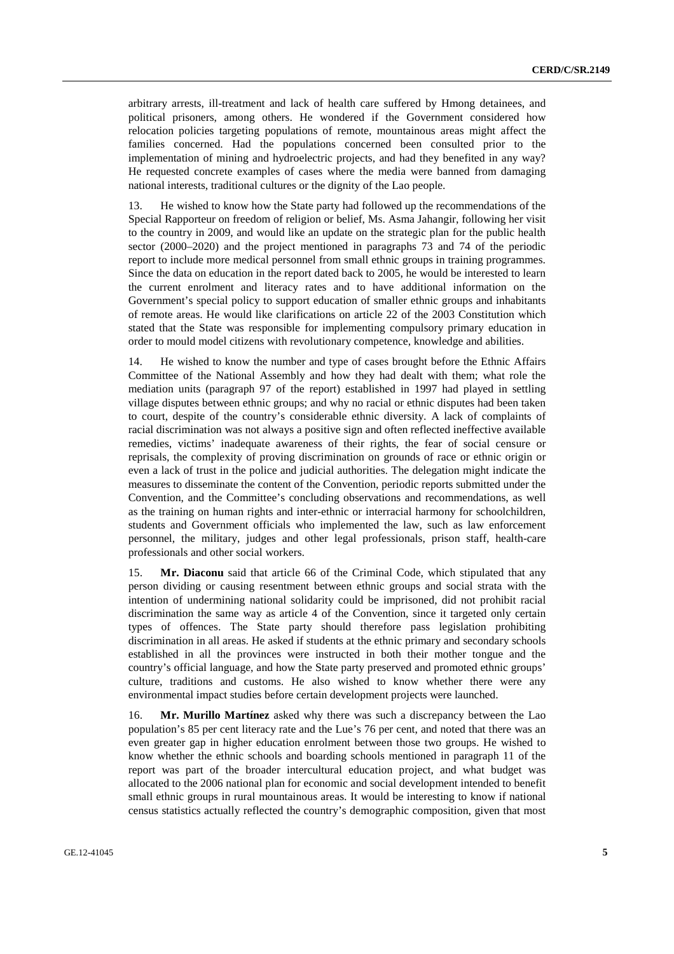arbitrary arrests, ill-treatment and lack of health care suffered by Hmong detainees, and political prisoners, among others. He wondered if the Government considered how relocation policies targeting populations of remote, mountainous areas might affect the families concerned. Had the populations concerned been consulted prior to the implementation of mining and hydroelectric projects, and had they benefited in any way? He requested concrete examples of cases where the media were banned from damaging national interests, traditional cultures or the dignity of the Lao people.

13. He wished to know how the State party had followed up the recommendations of the Special Rapporteur on freedom of religion or belief, Ms. Asma Jahangir, following her visit to the country in 2009, and would like an update on the strategic plan for the public health sector (2000–2020) and the project mentioned in paragraphs 73 and 74 of the periodic report to include more medical personnel from small ethnic groups in training programmes. Since the data on education in the report dated back to 2005, he would be interested to learn the current enrolment and literacy rates and to have additional information on the Government's special policy to support education of smaller ethnic groups and inhabitants of remote areas. He would like clarifications on article 22 of the 2003 Constitution which stated that the State was responsible for implementing compulsory primary education in order to mould model citizens with revolutionary competence, knowledge and abilities.

14. He wished to know the number and type of cases brought before the Ethnic Affairs Committee of the National Assembly and how they had dealt with them; what role the mediation units (paragraph 97 of the report) established in 1997 had played in settling village disputes between ethnic groups; and why no racial or ethnic disputes had been taken to court, despite of the country's considerable ethnic diversity. A lack of complaints of racial discrimination was not always a positive sign and often reflected ineffective available remedies, victims' inadequate awareness of their rights, the fear of social censure or reprisals, the complexity of proving discrimination on grounds of race or ethnic origin or even a lack of trust in the police and judicial authorities. The delegation might indicate the measures to disseminate the content of the Convention, periodic reports submitted under the Convention, and the Committee's concluding observations and recommendations, as well as the training on human rights and inter-ethnic or interracial harmony for schoolchildren, students and Government officials who implemented the law, such as law enforcement personnel, the military, judges and other legal professionals, prison staff, health-care professionals and other social workers.

15. **Mr. Diaconu** said that article 66 of the Criminal Code, which stipulated that any person dividing or causing resentment between ethnic groups and social strata with the intention of undermining national solidarity could be imprisoned, did not prohibit racial discrimination the same way as article 4 of the Convention, since it targeted only certain types of offences. The State party should therefore pass legislation prohibiting discrimination in all areas. He asked if students at the ethnic primary and secondary schools established in all the provinces were instructed in both their mother tongue and the country's official language, and how the State party preserved and promoted ethnic groups' culture, traditions and customs. He also wished to know whether there were any environmental impact studies before certain development projects were launched.

16. **Mr. Murillo Martínez** asked why there was such a discrepancy between the Lao population's 85 per cent literacy rate and the Lue's 76 per cent, and noted that there was an even greater gap in higher education enrolment between those two groups. He wished to know whether the ethnic schools and boarding schools mentioned in paragraph 11 of the report was part of the broader intercultural education project, and what budget was allocated to the 2006 national plan for economic and social development intended to benefit small ethnic groups in rural mountainous areas. It would be interesting to know if national census statistics actually reflected the country's demographic composition, given that most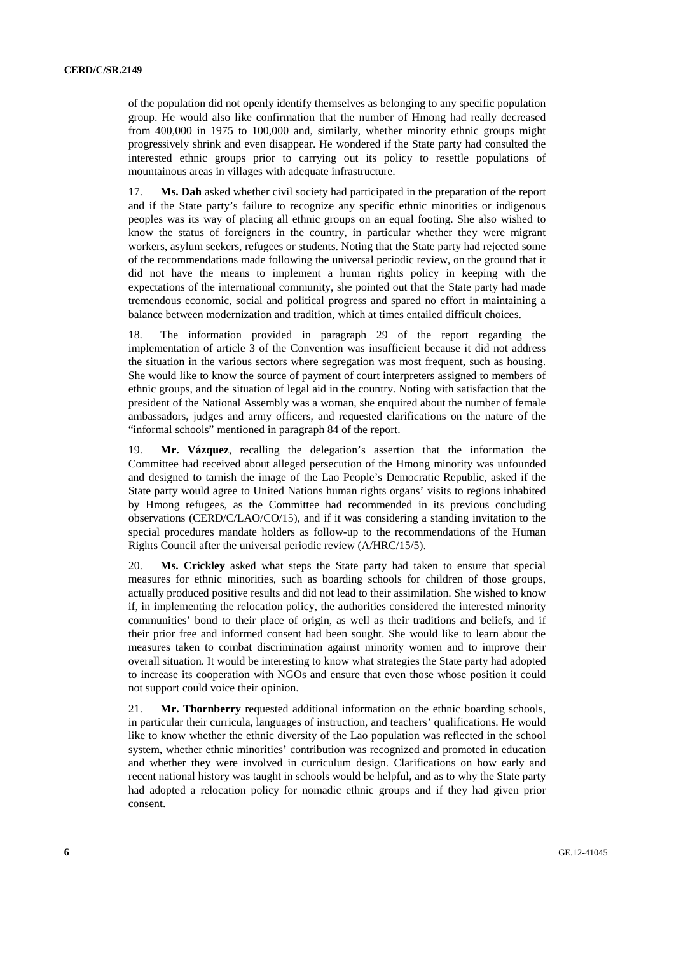of the population did not openly identify themselves as belonging to any specific population group. He would also like confirmation that the number of Hmong had really decreased from 400,000 in 1975 to 100,000 and, similarly, whether minority ethnic groups might progressively shrink and even disappear. He wondered if the State party had consulted the interested ethnic groups prior to carrying out its policy to resettle populations of mountainous areas in villages with adequate infrastructure.

17. **Ms. Dah** asked whether civil society had participated in the preparation of the report and if the State party's failure to recognize any specific ethnic minorities or indigenous peoples was its way of placing all ethnic groups on an equal footing. She also wished to know the status of foreigners in the country, in particular whether they were migrant workers, asylum seekers, refugees or students. Noting that the State party had rejected some of the recommendations made following the universal periodic review, on the ground that it did not have the means to implement a human rights policy in keeping with the expectations of the international community, she pointed out that the State party had made tremendous economic, social and political progress and spared no effort in maintaining a balance between modernization and tradition, which at times entailed difficult choices.

18. The information provided in paragraph 29 of the report regarding the implementation of article 3 of the Convention was insufficient because it did not address the situation in the various sectors where segregation was most frequent, such as housing. She would like to know the source of payment of court interpreters assigned to members of ethnic groups, and the situation of legal aid in the country. Noting with satisfaction that the president of the National Assembly was a woman, she enquired about the number of female ambassadors, judges and army officers, and requested clarifications on the nature of the "informal schools" mentioned in paragraph 84 of the report.

19. **Mr. Vázquez**, recalling the delegation's assertion that the information the Committee had received about alleged persecution of the Hmong minority was unfounded and designed to tarnish the image of the Lao People's Democratic Republic, asked if the State party would agree to United Nations human rights organs' visits to regions inhabited by Hmong refugees, as the Committee had recommended in its previous concluding observations (CERD/C/LAO/CO/15), and if it was considering a standing invitation to the special procedures mandate holders as follow-up to the recommendations of the Human Rights Council after the universal periodic review (A/HRC/15/5).

20. **Ms. Crickley** asked what steps the State party had taken to ensure that special measures for ethnic minorities, such as boarding schools for children of those groups, actually produced positive results and did not lead to their assimilation. She wished to know if, in implementing the relocation policy, the authorities considered the interested minority communities' bond to their place of origin, as well as their traditions and beliefs, and if their prior free and informed consent had been sought. She would like to learn about the measures taken to combat discrimination against minority women and to improve their overall situation. It would be interesting to know what strategies the State party had adopted to increase its cooperation with NGOs and ensure that even those whose position it could not support could voice their opinion.

21. **Mr. Thornberry** requested additional information on the ethnic boarding schools, in particular their curricula, languages of instruction, and teachers' qualifications. He would like to know whether the ethnic diversity of the Lao population was reflected in the school system, whether ethnic minorities' contribution was recognized and promoted in education and whether they were involved in curriculum design. Clarifications on how early and recent national history was taught in schools would be helpful, and as to why the State party had adopted a relocation policy for nomadic ethnic groups and if they had given prior consent.